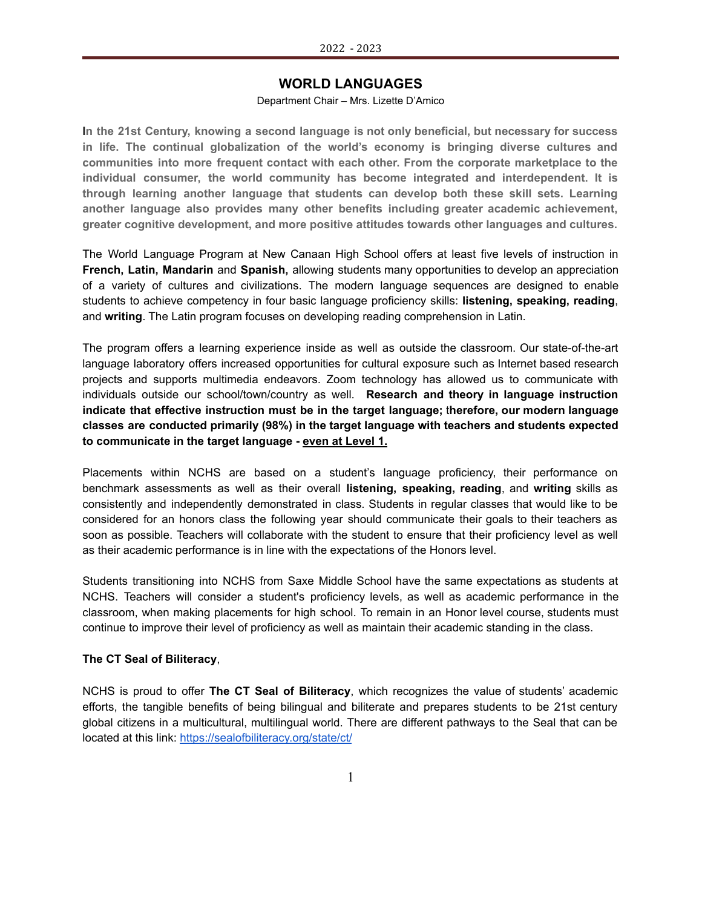# **WORLD LANGUAGES**

### Department Chair – Mrs. Lizette D'Amico

**In the 21st Century, knowing a second language is not only beneficial, but necessary for success in life. The continual globalization of the world's economy is bringing diverse cultures and communities into more frequent contact with each other. From the corporate marketplace to the individual consumer, the world community has become integrated and interdependent. It is through learning another language that students can develop both these skill sets. Learning another language also provides many other benefits including greater academic achievement, greater cognitive development, and more positive attitudes towards other languages and cultures.**

The World Language Program at New Canaan High School offers at least five levels of instruction in **French, Latin, Mandarin** and **Spanish,** allowing students many opportunities to develop an appreciation of a variety of cultures and civilizations. The modern language sequences are designed to enable students to achieve competency in four basic language proficiency skills: **listening, speaking, reading**, and **writing**. The Latin program focuses on developing reading comprehension in Latin.

The program offers a learning experience inside as well as outside the classroom. Our state-of-the-art language laboratory offers increased opportunities for cultural exposure such as Internet based research projects and supports multimedia endeavors. Zoom technology has allowed us to communicate with individuals outside our school/town/country as well. **Research and theory in language instruction indicate that effective instruction must be in the target language;** t**herefore, our modern language classes are conducted primarily (98%) in the target language with teachers and students expected to communicate in the target language - even at Level 1.**

Placements within NCHS are based on a student's language proficiency, their performance on benchmark assessments as well as their overall **listening, speaking, reading**, and **writing** skills as consistently and independently demonstrated in class. Students in regular classes that would like to be considered for an honors class the following year should communicate their goals to their teachers as soon as possible. Teachers will collaborate with the student to ensure that their proficiency level as well as their academic performance is in line with the expectations of the Honors level.

Students transitioning into NCHS from Saxe Middle School have the same expectations as students at NCHS. Teachers will consider a student's proficiency levels, as well as academic performance in the classroom, when making placements for high school. To remain in an Honor level course, students must continue to improve their level of proficiency as well as maintain their academic standing in the class.

#### **The CT Seal of Biliteracy**,

NCHS is proud to offer **The CT Seal of Biliteracy**, which recognizes the value of students' academic efforts, the tangible benefits of being bilingual and biliterate and prepares students to be 21st century global citizens in a multicultural, multilingual world. There are different pathways to the Seal that can be located at this link: <https://sealofbiliteracy.org/state/ct/>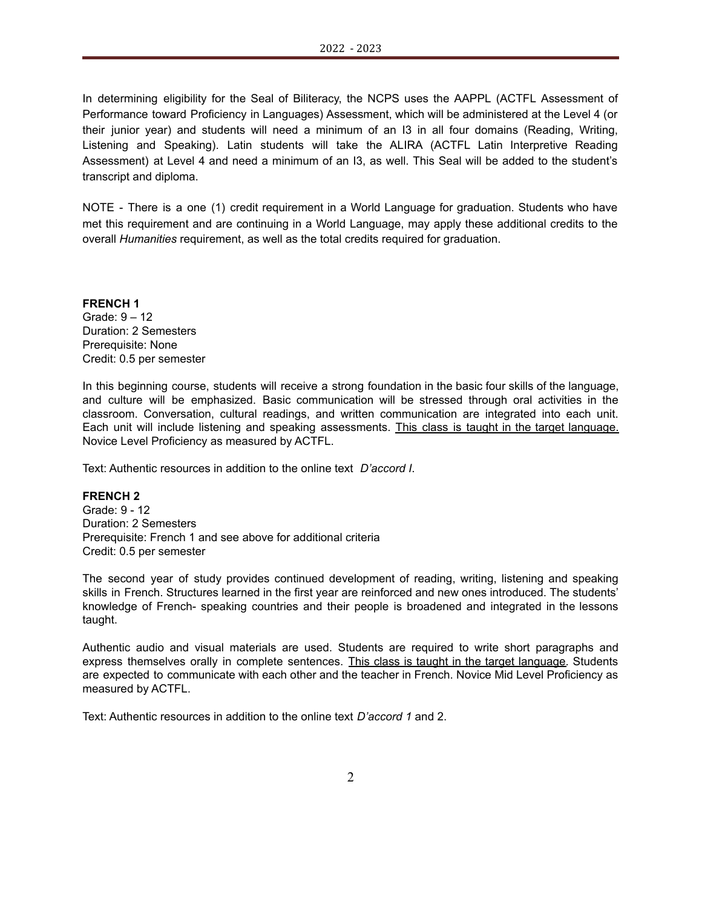In determining eligibility for the Seal of Biliteracy, the NCPS uses the AAPPL (ACTFL Assessment of Performance toward Proficiency in Languages) Assessment, which will be administered at the Level 4 (or their junior year) and students will need a minimum of an I3 in all four domains (Reading, Writing, Listening and Speaking). Latin students will take the ALIRA (ACTFL Latin Interpretive Reading Assessment) at Level 4 and need a minimum of an I3, as well. This Seal will be added to the student's transcript and diploma.

NOTE - There is a one (1) credit requirement in a World Language for graduation. Students who have met this requirement and are continuing in a World Language, may apply these additional credits to the overall *Humanities* requirement, as well as the total credits required for graduation.

#### **FRENCH 1** Grade: 9 – 12

Duration: 2 Semesters Prerequisite: None Credit: 0.5 per semester

In this beginning course, students will receive a strong foundation in the basic four skills of the language, and culture will be emphasized. Basic communication will be stressed through oral activities in the classroom. Conversation, cultural readings, and written communication are integrated into each unit. Each unit will include listening and speaking assessments. This class is taught in the target language. Novice Level Proficiency as measured by ACTFL.

Text: Authentic resources in addition to the online text *D'accord I*.

### **FRENCH 2**

Grade: 9 - 12 Duration: 2 Semesters Prerequisite: French 1 and see above for additional criteria Credit: 0.5 per semester

The second year of study provides continued development of reading, writing, listening and speaking skills in French. Structures learned in the first year are reinforced and new ones introduced. The students' knowledge of French- speaking countries and their people is broadened and integrated in the lessons taught.

Authentic audio and visual materials are used. Students are required to write short paragraphs and express themselves orally in complete sentences. This class is taught in the target language. Students are expected to communicate with each other and the teacher in French. Novice Mid Level Proficiency as measured by ACTFL.

Text: Authentic resources in addition to the online text *D'accord 1* and 2.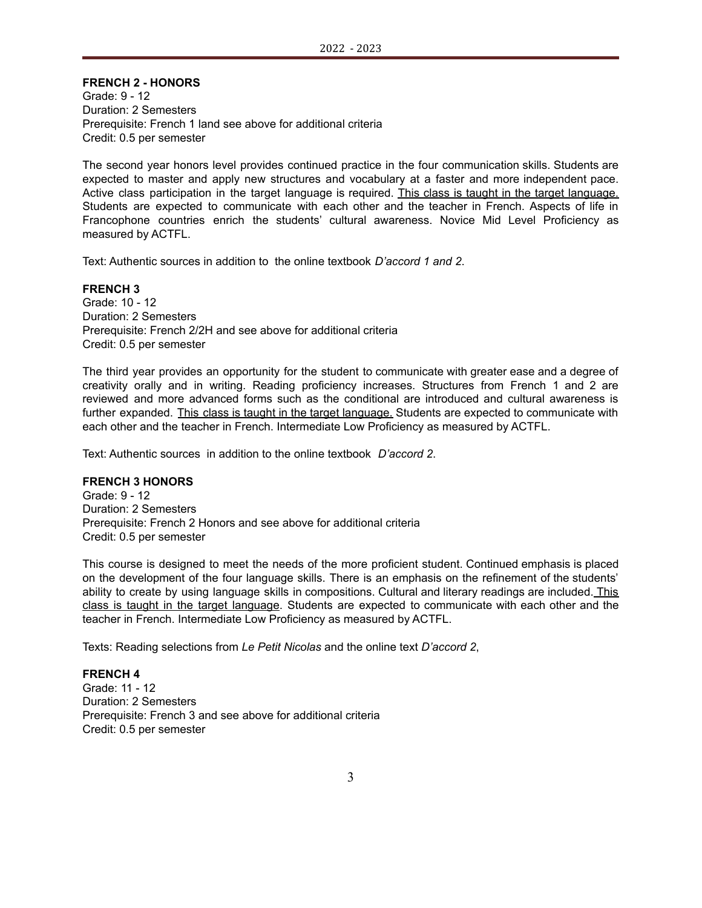# **FRENCH 2 - HONORS**

Grade: 9 - 12 Duration: 2 Semesters Prerequisite: French 1 land see above for additional criteria Credit: 0.5 per semester

The second year honors level provides continued practice in the four communication skills. Students are expected to master and apply new structures and vocabulary at a faster and more independent pace. Active class participation in the target language is required. This class is taught in the target language. Students are expected to communicate with each other and the teacher in French. Aspects of life in Francophone countries enrich the students' cultural awareness. Novice Mid Level Proficiency as measured by ACTFL.

Text: Authentic sources in addition to the online textbook *D'accord 1 and 2*.

**FRENCH 3** Grade: 10 - 12 Duration: 2 Semesters Prerequisite: French 2/2H and see above for additional criteria Credit: 0.5 per semester

The third year provides an opportunity for the student to communicate with greater ease and a degree of creativity orally and in writing. Reading proficiency increases. Structures from French 1 and 2 are reviewed and more advanced forms such as the conditional are introduced and cultural awareness is further expanded. This class is taught in the target language. Students are expected to communicate with each other and the teacher in French. Intermediate Low Proficiency as measured by ACTFL.

Text: Authentic sources in addition to the online textbook *D'accord 2*.

#### **FRENCH 3 HONORS**

Grade: 9 - 12 Duration: 2 Semesters Prerequisite: French 2 Honors and see above for additional criteria Credit: 0.5 per semester

This course is designed to meet the needs of the more proficient student. Continued emphasis is placed on the development of the four language skills. There is an emphasis on the refinement of the students' ability to create by using language skills in compositions. Cultural and literary readings are included. This class is taught in the target language. Students are expected to communicate with each other and the teacher in French. Intermediate Low Proficiency as measured by ACTFL.

Texts: Reading selections from *Le Petit Nicolas* and the online text *D'accord 2*,

#### **FRENCH 4**

Grade: 11 - 12 Duration: 2 Semesters Prerequisite: French 3 and see above for additional criteria Credit: 0.5 per semester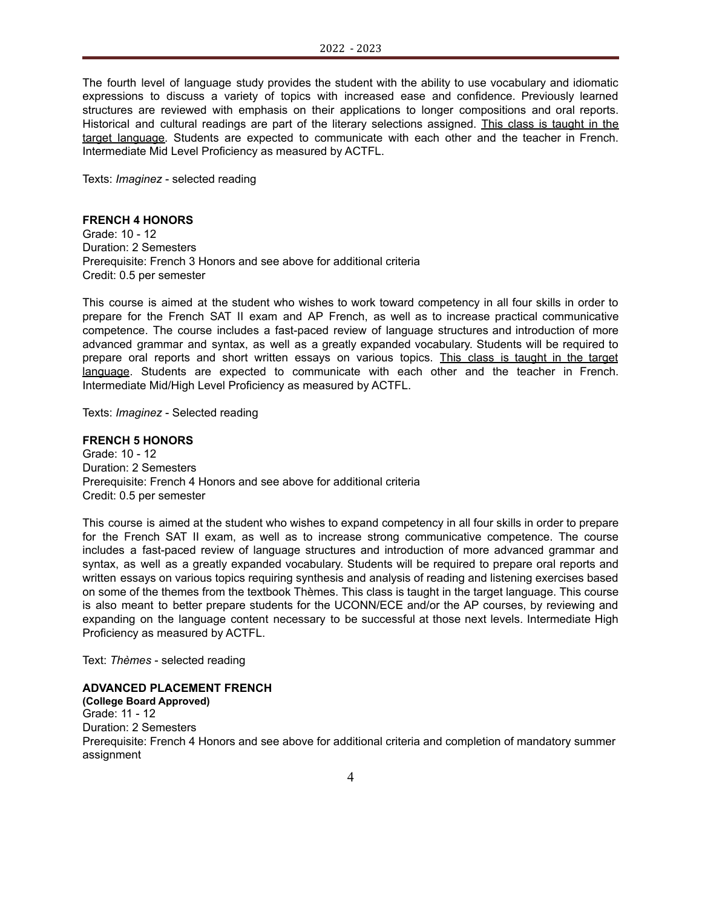The fourth level of language study provides the student with the ability to use vocabulary and idiomatic expressions to discuss a variety of topics with increased ease and confidence. Previously learned structures are reviewed with emphasis on their applications to longer compositions and oral reports. Historical and cultural readings are part of the literary selections assigned. This class is taught in the target language. Students are expected to communicate with each other and the teacher in French. Intermediate Mid Level Proficiency as measured by ACTFL.

Texts: *Imaginez* - selected reading

# **FRENCH 4 HONORS**

Grade: 10 - 12 Duration: 2 Semesters Prerequisite: French 3 Honors and see above for additional criteria Credit: 0.5 per semester

This course is aimed at the student who wishes to work toward competency in all four skills in order to prepare for the French SAT II exam and AP French, as well as to increase practical communicative competence. The course includes a fast-paced review of language structures and introduction of more advanced grammar and syntax, as well as a greatly expanded vocabulary. Students will be required to prepare oral reports and short written essays on various topics. This class is taught in the target language. Students are expected to communicate with each other and the teacher in French. Intermediate Mid/High Level Proficiency as measured by ACTFL.

Texts: *Imaginez* - Selected reading

### **FRENCH 5 HONORS**

Grade: 10 - 12 Duration: 2 Semesters Prerequisite: French 4 Honors and see above for additional criteria Credit: 0.5 per semester

This course is aimed at the student who wishes to expand competency in all four skills in order to prepare for the French SAT II exam, as well as to increase strong communicative competence. The course includes a fast-paced review of language structures and introduction of more advanced grammar and syntax, as well as a greatly expanded vocabulary. Students will be required to prepare oral reports and written essays on various topics requiring synthesis and analysis of reading and listening exercises based on some of the themes from the textbook Thèmes. This class is taught in the target language. This course is also meant to better prepare students for the UCONN/ECE and/or the AP courses, by reviewing and expanding on the language content necessary to be successful at those next levels. Intermediate High Proficiency as measured by ACTFL.

Text: *Thèmes* - selected reading

# **ADVANCED PLACEMENT FRENCH**

**(College Board Approved)** Grade: 11 - 12 Duration: 2 Semesters Prerequisite: French 4 Honors and see above for additional criteria and completion of mandatory summer assignment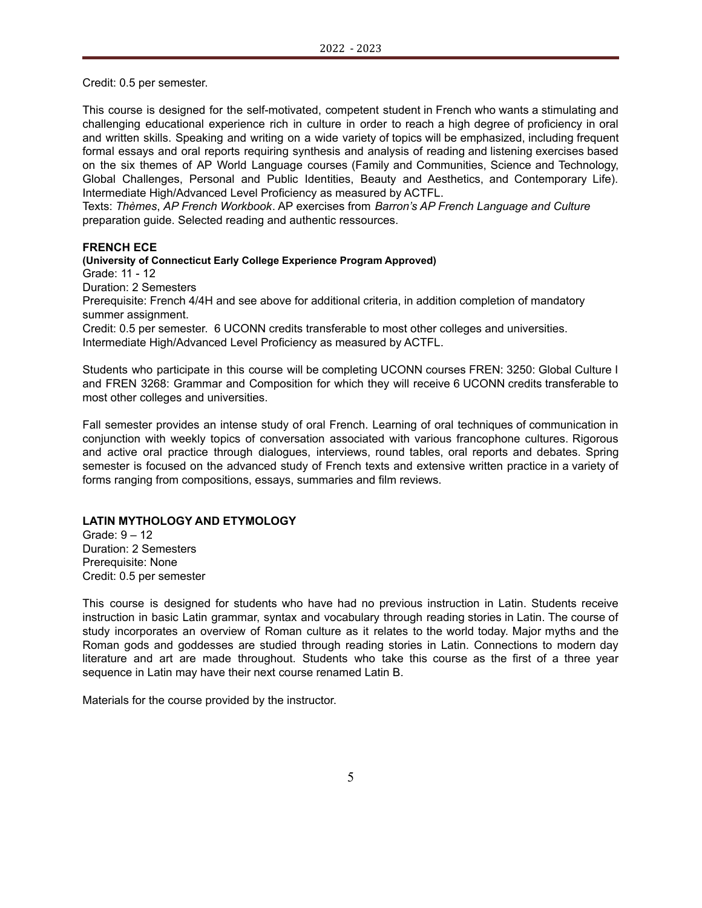Credit: 0.5 per semester.

This course is designed for the self-motivated, competent student in French who wants a stimulating and challenging educational experience rich in culture in order to reach a high degree of proficiency in oral and written skills. Speaking and writing on a wide variety of topics will be emphasized, including frequent formal essays and oral reports requiring synthesis and analysis of reading and listening exercises based on the six themes of AP World Language courses (Family and Communities, Science and Technology, Global Challenges, Personal and Public Identities, Beauty and Aesthetics, and Contemporary Life). Intermediate High/Advanced Level Proficiency as measured by ACTFL.

Texts: *Thèmes*, *AP French Workbook*. AP exercises from *Barron's AP French Language and Culture* preparation guide. Selected reading and authentic ressources.

### **FRENCH ECE**

**(University of Connecticut Early College Experience Program Approved)**

Grade: 11 - 12

Duration: 2 Semesters

Prerequisite: French 4/4H and see above for additional criteria, in addition completion of mandatory summer assignment.

Credit: 0.5 per semester. 6 UCONN credits transferable to most other colleges and universities. Intermediate High/Advanced Level Proficiency as measured by ACTFL.

Students who participate in this course will be completing UCONN courses FREN: 3250: Global Culture I and FREN 3268: Grammar and Composition for which they will receive 6 UCONN credits transferable to most other colleges and universities.

Fall semester provides an intense study of oral French. Learning of oral techniques of communication in conjunction with weekly topics of conversation associated with various francophone cultures. Rigorous and active oral practice through dialogues, interviews, round tables, oral reports and debates. Spring semester is focused on the advanced study of French texts and extensive written practice in a variety of forms ranging from compositions, essays, summaries and film reviews.

### **LATIN MYTHOLOGY AND ETYMOLOGY**

Grade: 9 – 12 Duration: 2 Semesters Prerequisite: None Credit: 0.5 per semester

This course is designed for students who have had no previous instruction in Latin. Students receive instruction in basic Latin grammar, syntax and vocabulary through reading stories in Latin. The course of study incorporates an overview of Roman culture as it relates to the world today. Major myths and the Roman gods and goddesses are studied through reading stories in Latin. Connections to modern day literature and art are made throughout. Students who take this course as the first of a three year sequence in Latin may have their next course renamed Latin B.

Materials for the course provided by the instructor.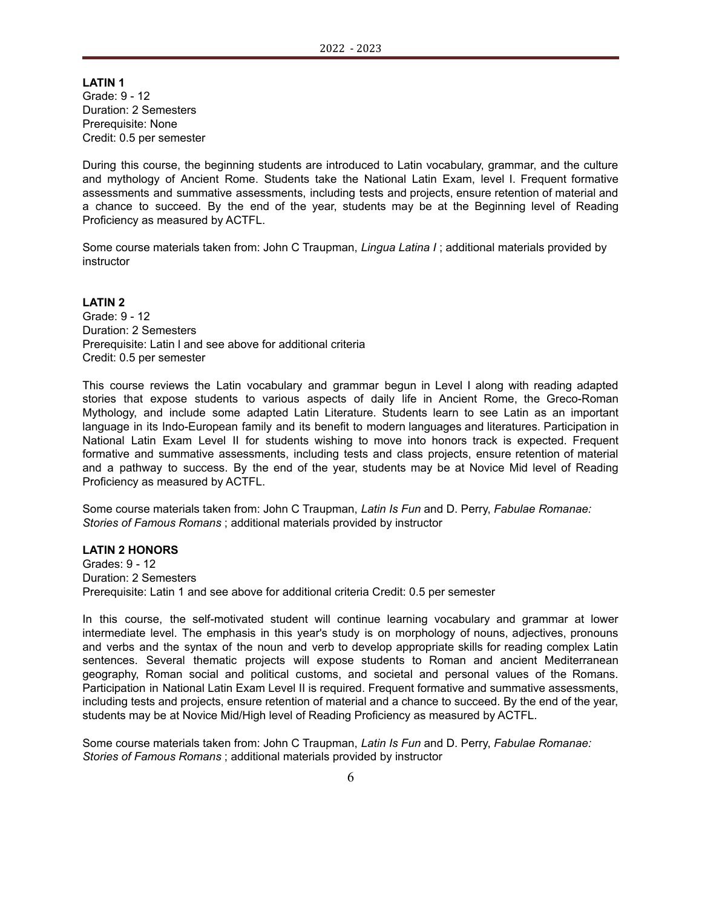**LATIN 1** Grade: 9 - 12 Duration: 2 Semesters Prerequisite: None Credit: 0.5 per semester

During this course, the beginning students are introduced to Latin vocabulary, grammar, and the culture and mythology of Ancient Rome. Students take the National Latin Exam, level I. Frequent formative assessments and summative assessments, including tests and projects, ensure retention of material and a chance to succeed. By the end of the year, students may be at the Beginning level of Reading Proficiency as measured by ACTFL.

Some course materials taken from: John C Traupman, *Lingua Latina I* ; additional materials provided by instructor

**LATIN 2** Grade: 9 - 12 Duration: 2 Semesters Prerequisite: Latin l and see above for additional criteria Credit: 0.5 per semester

This course reviews the Latin vocabulary and grammar begun in Level I along with reading adapted stories that expose students to various aspects of daily life in Ancient Rome, the Greco-Roman Mythology, and include some adapted Latin Literature. Students learn to see Latin as an important language in its Indo-European family and its benefit to modern languages and literatures. Participation in National Latin Exam Level II for students wishing to move into honors track is expected. Frequent formative and summative assessments, including tests and class projects, ensure retention of material and a pathway to success. By the end of the year, students may be at Novice Mid level of Reading Proficiency as measured by ACTFL.

Some course materials taken from: John C Traupman, *Latin Is Fun* and D. Perry, *Fabulae Romanae: Stories of Famous Romans* ; additional materials provided by instructor

### **LATIN 2 HONORS**

Grades: 9 - 12 Duration: 2 Semesters Prerequisite: Latin 1 and see above for additional criteria Credit: 0.5 per semester

In this course, the self-motivated student will continue learning vocabulary and grammar at lower intermediate level. The emphasis in this year's study is on morphology of nouns, adjectives, pronouns and verbs and the syntax of the noun and verb to develop appropriate skills for reading complex Latin sentences. Several thematic projects will expose students to Roman and ancient Mediterranean geography, Roman social and political customs, and societal and personal values of the Romans. Participation in National Latin Exam Level II is required. Frequent formative and summative assessments, including tests and projects, ensure retention of material and a chance to succeed. By the end of the year, students may be at Novice Mid/High level of Reading Proficiency as measured by ACTFL.

Some course materials taken from: John C Traupman, *Latin Is Fun* and D. Perry, *Fabulae Romanae: Stories of Famous Romans* ; additional materials provided by instructor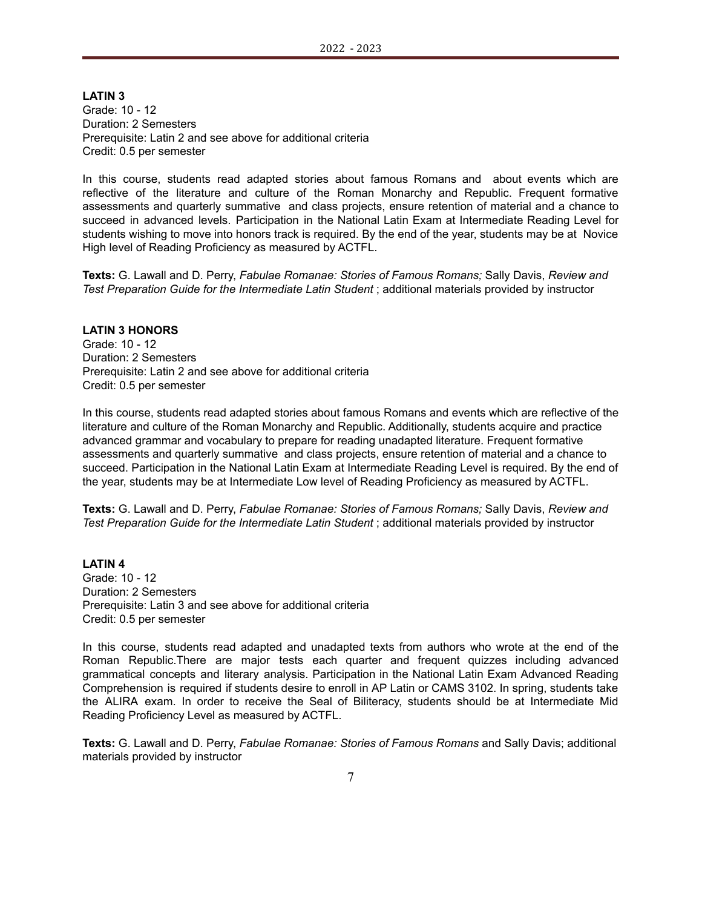**LATIN 3** Grade: 10 - 12 Duration: 2 Semesters Prerequisite: Latin 2 and see above for additional criteria Credit: 0.5 per semester

In this course, students read adapted stories about famous Romans and about events which are reflective of the literature and culture of the Roman Monarchy and Republic. Frequent formative assessments and quarterly summative and class projects, ensure retention of material and a chance to succeed in advanced levels. Participation in the National Latin Exam at Intermediate Reading Level for students wishing to move into honors track is required. By the end of the year, students may be at Novice High level of Reading Proficiency as measured by ACTFL.

**Texts:** G. Lawall and D. Perry, *Fabulae Romanae: Stories of Famous Romans;* Sally Davis, *Review and Test Preparation Guide for the Intermediate Latin Student* ; additional materials provided by instructor

#### **LATIN 3 HONORS**

Grade: 10 - 12 Duration: 2 Semesters Prerequisite: Latin 2 and see above for additional criteria Credit: 0.5 per semester

In this course, students read adapted stories about famous Romans and events which are reflective of the literature and culture of the Roman Monarchy and Republic. Additionally, students acquire and practice advanced grammar and vocabulary to prepare for reading unadapted literature. Frequent formative assessments and quarterly summative and class projects, ensure retention of material and a chance to succeed. Participation in the National Latin Exam at Intermediate Reading Level is required. By the end of the year, students may be at Intermediate Low level of Reading Proficiency as measured by ACTFL.

**Texts:** G. Lawall and D. Perry, *Fabulae Romanae: Stories of Famous Romans;* Sally Davis, *Review and Test Preparation Guide for the Intermediate Latin Student* ; additional materials provided by instructor

**LATIN 4** Grade: 10 - 12 Duration: 2 Semesters Prerequisite: Latin 3 and see above for additional criteria Credit: 0.5 per semester

In this course, students read adapted and unadapted texts from authors who wrote at the end of the Roman Republic.There are major tests each quarter and frequent quizzes including advanced grammatical concepts and literary analysis. Participation in the National Latin Exam Advanced Reading Comprehension is required if students desire to enroll in AP Latin or CAMS 3102. In spring, students take the ALIRA exam. In order to receive the Seal of Biliteracy, students should be at Intermediate Mid Reading Proficiency Level as measured by ACTFL.

**Texts:** G. Lawall and D. Perry, *Fabulae Romanae: Stories of Famous Romans* and Sally Davis; additional materials provided by instructor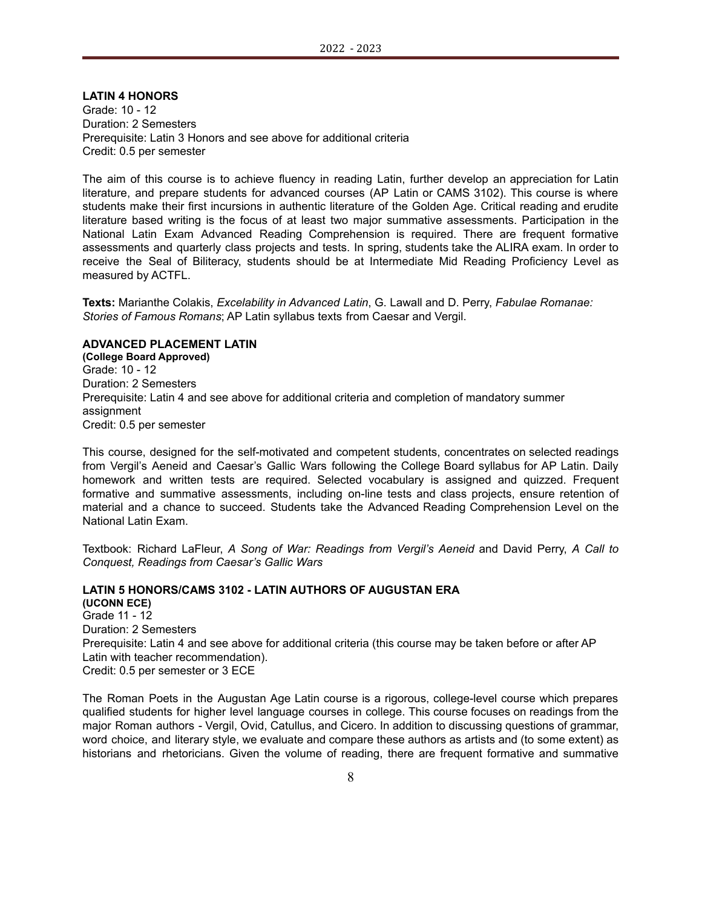**LATIN 4 HONORS**

Grade: 10 - 12 Duration: 2 Semesters Prerequisite: Latin 3 Honors and see above for additional criteria Credit: 0.5 per semester

The aim of this course is to achieve fluency in reading Latin, further develop an appreciation for Latin literature, and prepare students for advanced courses (AP Latin or CAMS 3102). This course is where students make their first incursions in authentic literature of the Golden Age. Critical reading and erudite literature based writing is the focus of at least two major summative assessments. Participation in the National Latin Exam Advanced Reading Comprehension is required. There are frequent formative assessments and quarterly class projects and tests. In spring, students take the ALIRA exam. In order to receive the Seal of Biliteracy, students should be at Intermediate Mid Reading Proficiency Level as measured by ACTFL.

**Texts:** Marianthe Colakis, *Excelability in Advanced Latin*, G. Lawall and D. Perry, *Fabulae Romanae: Stories of Famous Romans*; AP Latin syllabus texts from Caesar and Vergil.

### **ADVANCED PLACEMENT LATIN**

**(College Board Approved)** Grade: 10 - 12 Duration: 2 Semesters Prerequisite: Latin 4 and see above for additional criteria and completion of mandatory summer assignment Credit: 0.5 per semester

This course, designed for the self-motivated and competent students, concentrates on selected readings from Vergil's Aeneid and Caesar's Gallic Wars following the College Board syllabus for AP Latin. Daily homework and written tests are required. Selected vocabulary is assigned and quizzed. Frequent formative and summative assessments, including on-line tests and class projects, ensure retention of material and a chance to succeed. Students take the Advanced Reading Comprehension Level on the National Latin Exam.

Textbook: Richard LaFleur, *A Song of War: Readings from Vergil's Aeneid* and David Perry, *A Call to Conquest, Readings from Caesar's Gallic Wars*

### **LATIN 5 HONORS/CAMS 3102 - LATIN AUTHORS OF AUGUSTAN ERA**

**(UCONN ECE)** Grade 11 - 12 Duration: 2 Semesters Prerequisite: Latin 4 and see above for additional criteria (this course may be taken before or after AP Latin with teacher recommendation). Credit: 0.5 per semester or 3 ECE

The Roman Poets in the Augustan Age Latin course is a rigorous, college-level course which prepares qualified students for higher level language courses in college. This course focuses on readings from the major Roman authors - Vergil, Ovid, Catullus, and Cicero. In addition to discussing questions of grammar, word choice, and literary style, we evaluate and compare these authors as artists and (to some extent) as historians and rhetoricians. Given the volume of reading, there are frequent formative and summative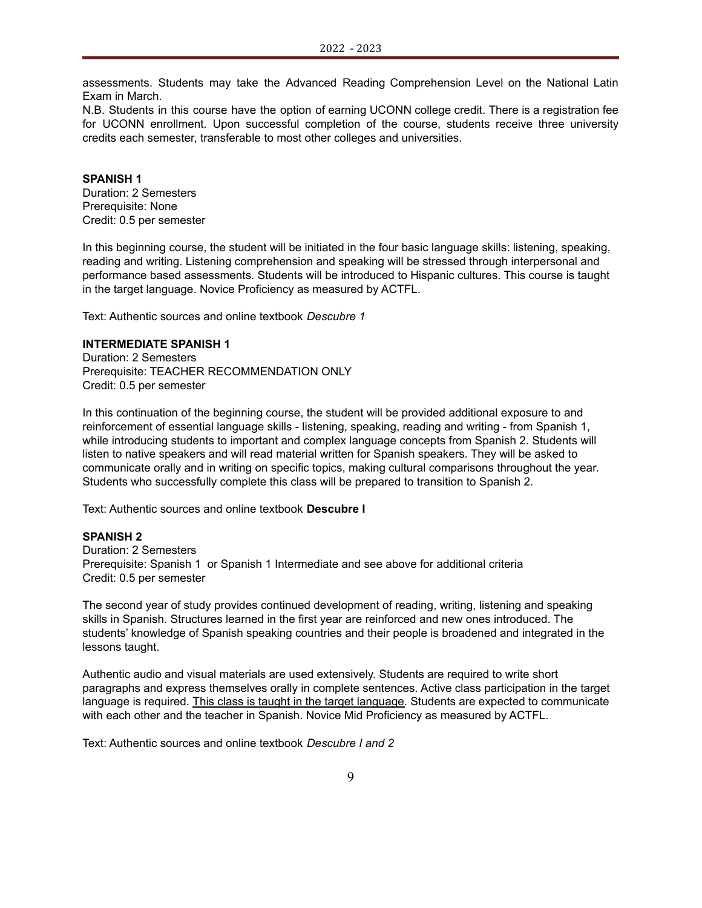assessments. Students may take the Advanced Reading Comprehension Level on the National Latin Exam in March.

N.B. Students in this course have the option of earning UCONN college credit. There is a registration fee for UCONN enrollment. Upon successful completion of the course, students receive three university credits each semester, transferable to most other colleges and universities.

#### **SPANISH 1**

Duration: 2 Semesters Prerequisite: None Credit: 0.5 per semester

In this beginning course, the student will be initiated in the four basic language skills: listening, speaking, reading and writing. Listening comprehension and speaking will be stressed through interpersonal and performance based assessments. Students will be introduced to Hispanic cultures. This course is taught in the target language. Novice Proficiency as measured by ACTFL.

Text: Authentic sources and online textbook *Descubre 1*

# **INTERMEDIATE SPANISH 1**

Duration: 2 Semesters Prerequisite: TEACHER RECOMMENDATION ONLY Credit: 0.5 per semester

In this continuation of the beginning course, the student will be provided additional exposure to and reinforcement of essential language skills - listening, speaking, reading and writing - from Spanish 1, while introducing students to important and complex language concepts from Spanish 2. Students will listen to native speakers and will read material written for Spanish speakers. They will be asked to communicate orally and in writing on specific topics, making cultural comparisons throughout the year. Students who successfully complete this class will be prepared to transition to Spanish 2.

Text: Authentic sources and online textbook **Descubre I**

# **SPANISH 2**

Duration: 2 Semesters Prerequisite: Spanish 1 or Spanish 1 Intermediate and see above for additional criteria Credit: 0.5 per semester

The second year of study provides continued development of reading, writing, listening and speaking skills in Spanish. Structures learned in the first year are reinforced and new ones introduced. The students' knowledge of Spanish speaking countries and their people is broadened and integrated in the lessons taught.

Authentic audio and visual materials are used extensively. Students are required to write short paragraphs and express themselves orally in complete sentences. Active class participation in the target language is required. This class is taught in the target language. Students are expected to communicate with each other and the teacher in Spanish. Novice Mid Proficiency as measured by ACTFL.

Text: Authentic sources and online textbook *Descubre I and 2*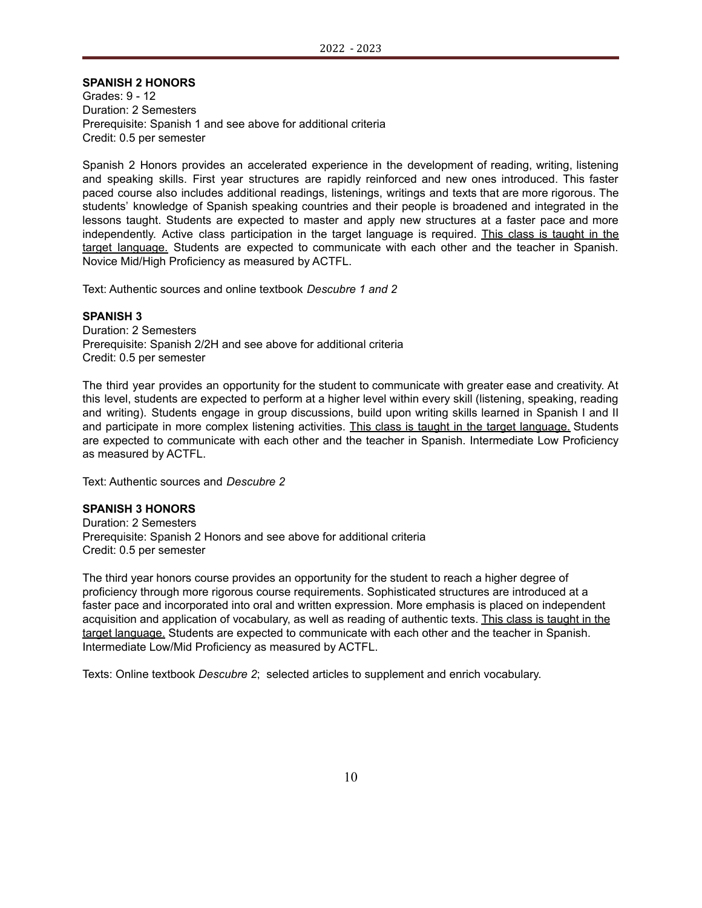# **SPANISH 2 HONORS**

Grades: 9 - 12 Duration: 2 Semesters Prerequisite: Spanish 1 and see above for additional criteria Credit: 0.5 per semester

Spanish 2 Honors provides an accelerated experience in the development of reading, writing, listening and speaking skills. First year structures are rapidly reinforced and new ones introduced. This faster paced course also includes additional readings, listenings, writings and texts that are more rigorous. The students' knowledge of Spanish speaking countries and their people is broadened and integrated in the lessons taught. Students are expected to master and apply new structures at a faster pace and more independently. Active class participation in the target language is required. This class is taught in the target language. Students are expected to communicate with each other and the teacher in Spanish. Novice Mid/High Proficiency as measured by ACTFL.

Text: Authentic sources and online textbook *Descubre 1 and 2*

#### **SPANISH 3**

Duration: 2 Semesters Prerequisite: Spanish 2/2H and see above for additional criteria Credit: 0.5 per semester

The third year provides an opportunity for the student to communicate with greater ease and creativity. At this level, students are expected to perform at a higher level within every skill (listening, speaking, reading and writing). Students engage in group discussions, build upon writing skills learned in Spanish I and II and participate in more complex listening activities. This class is taught in the target language. Students are expected to communicate with each other and the teacher in Spanish. Intermediate Low Proficiency as measured by ACTFL.

Text: Authentic sources and *Descubre 2*

#### **SPANISH 3 HONORS**

Duration: 2 Semesters Prerequisite: Spanish 2 Honors and see above for additional criteria Credit: 0.5 per semester

The third year honors course provides an opportunity for the student to reach a higher degree of proficiency through more rigorous course requirements. Sophisticated structures are introduced at a faster pace and incorporated into oral and written expression. More emphasis is placed on independent acquisition and application of vocabulary, as well as reading of authentic texts. This class is taught in the target language. Students are expected to communicate with each other and the teacher in Spanish. Intermediate Low/Mid Proficiency as measured by ACTFL.

Texts: Online textbook *Descubre 2*; selected articles to supplement and enrich vocabulary.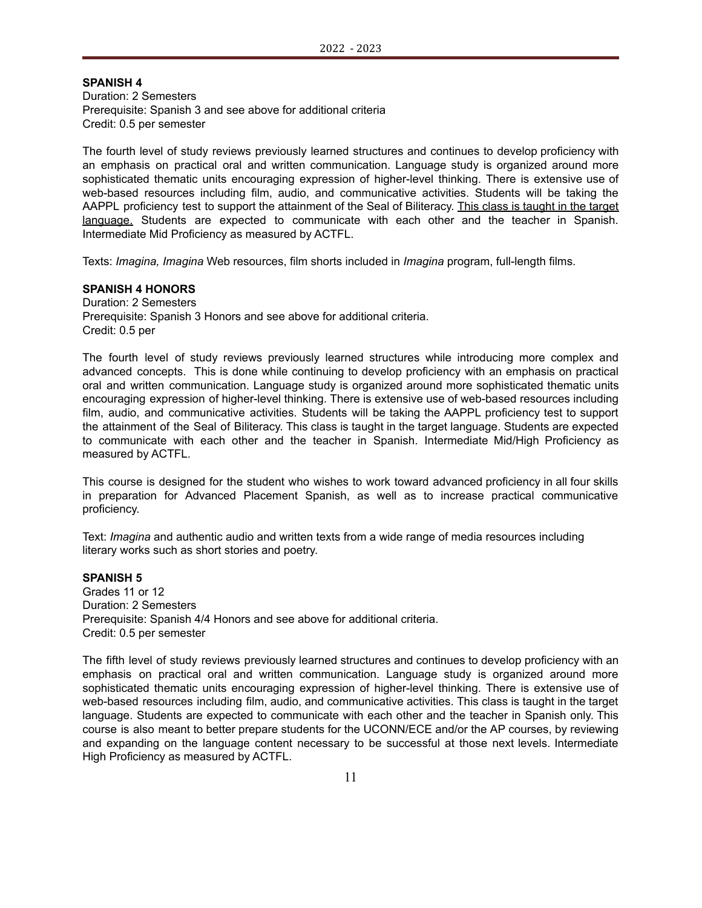# **SPANISH 4**

Duration: 2 Semesters Prerequisite: Spanish 3 and see above for additional criteria Credit: 0.5 per semester

The fourth level of study reviews previously learned structures and continues to develop proficiency with an emphasis on practical oral and written communication. Language study is organized around more sophisticated thematic units encouraging expression of higher-level thinking. There is extensive use of web-based resources including film, audio, and communicative activities. Students will be taking the AAPPL proficiency test to support the attainment of the Seal of Biliteracy. This class is taught in the target language. Students are expected to communicate with each other and the teacher in Spanish. Intermediate Mid Proficiency as measured by ACTFL.

Texts: *Imagina, Imagina* Web resources, film shorts included in *Imagina* program, full-length films.

### **SPANISH 4 HONORS**

Duration: 2 Semesters Prerequisite: Spanish 3 Honors and see above for additional criteria. Credit: 0.5 per

The fourth level of study reviews previously learned structures while introducing more complex and advanced concepts. This is done while continuing to develop proficiency with an emphasis on practical oral and written communication. Language study is organized around more sophisticated thematic units encouraging expression of higher-level thinking. There is extensive use of web-based resources including film, audio, and communicative activities. Students will be taking the AAPPL proficiency test to support the attainment of the Seal of Biliteracy. This class is taught in the target language. Students are expected to communicate with each other and the teacher in Spanish. Intermediate Mid/High Proficiency as measured by ACTFL.

This course is designed for the student who wishes to work toward advanced proficiency in all four skills in preparation for Advanced Placement Spanish, as well as to increase practical communicative proficiency.

Text: *Imagina* and authentic audio and written texts from a wide range of media resources including literary works such as short stories and poetry.

#### **SPANISH 5**

Grades 11 or 12 Duration: 2 Semesters Prerequisite: Spanish 4/4 Honors and see above for additional criteria. Credit: 0.5 per semester

The fifth level of study reviews previously learned structures and continues to develop proficiency with an emphasis on practical oral and written communication. Language study is organized around more sophisticated thematic units encouraging expression of higher-level thinking. There is extensive use of web-based resources including film, audio, and communicative activities. This class is taught in the target language. Students are expected to communicate with each other and the teacher in Spanish only. This course is also meant to better prepare students for the UCONN/ECE and/or the AP courses, by reviewing and expanding on the language content necessary to be successful at those next levels. Intermediate High Proficiency as measured by ACTFL.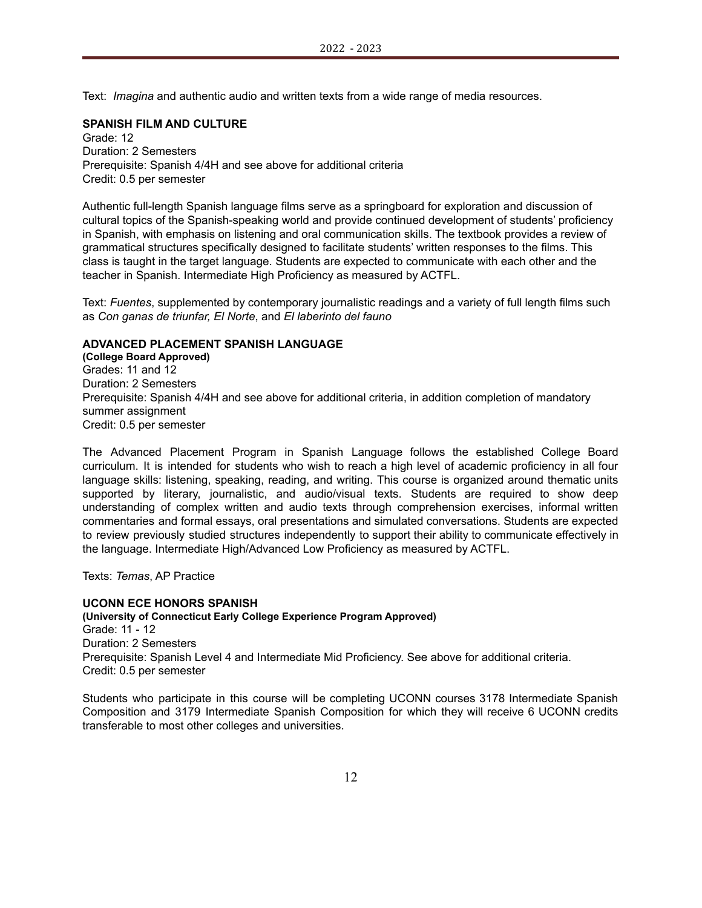Text: *Imagina* and authentic audio and written texts from a wide range of media resources.

### **SPANISH FILM AND CULTURE**

Grade: 12 Duration: 2 Semesters Prerequisite: Spanish 4/4H and see above for additional criteria Credit: 0.5 per semester

Authentic full-length Spanish language films serve as a springboard for exploration and discussion of cultural topics of the Spanish-speaking world and provide continued development of students' proficiency in Spanish, with emphasis on listening and oral communication skills. The textbook provides a review of grammatical structures specifically designed to facilitate students' written responses to the films. This class is taught in the target language. Students are expected to communicate with each other and the teacher in Spanish. Intermediate High Proficiency as measured by ACTFL.

Text: *Fuentes*, supplemented by contemporary journalistic readings and a variety of full length films such as *Con ganas de triunfar, El Norte*, and *El laberinto del fauno*

#### **ADVANCED PLACEMENT SPANISH LANGUAGE**

**(College Board Approved)** Grades: 11 and 12 Duration: 2 Semesters Prerequisite: Spanish 4/4H and see above for additional criteria, in addition completion of mandatory summer assignment Credit: 0.5 per semester

The Advanced Placement Program in Spanish Language follows the established College Board curriculum. It is intended for students who wish to reach a high level of academic proficiency in all four language skills: listening, speaking, reading, and writing. This course is organized around thematic units supported by literary, journalistic, and audio/visual texts. Students are required to show deep understanding of complex written and audio texts through comprehension exercises, informal written commentaries and formal essays, oral presentations and simulated conversations. Students are expected to review previously studied structures independently to support their ability to communicate effectively in the language. Intermediate High/Advanced Low Proficiency as measured by ACTFL.

Texts: *Temas*, AP Practice

### **UCONN ECE HONORS SPANISH**

**(University of Connecticut Early College Experience Program Approved)** Grade: 11 - 12 Duration: 2 Semesters Prerequisite: Spanish Level 4 and Intermediate Mid Proficiency. See above for additional criteria. Credit: 0.5 per semester

Students who participate in this course will be completing UCONN courses 3178 Intermediate Spanish Composition and 3179 Intermediate Spanish Composition for which they will receive 6 UCONN credits transferable to most other colleges and universities.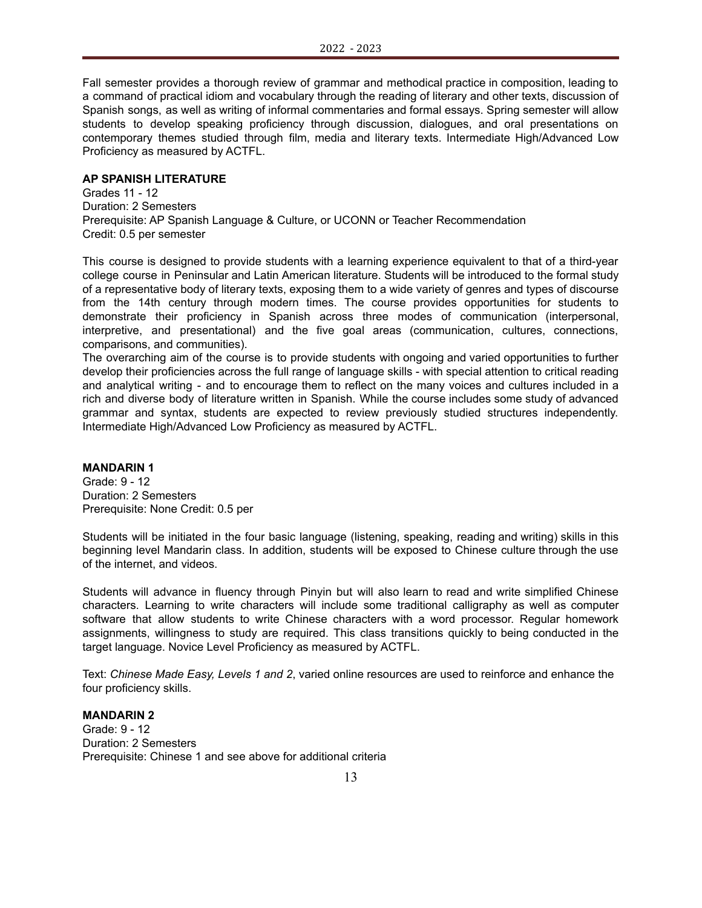Fall semester provides a thorough review of grammar and methodical practice in composition, leading to a command of practical idiom and vocabulary through the reading of literary and other texts, discussion of Spanish songs, as well as writing of informal commentaries and formal essays. Spring semester will allow students to develop speaking proficiency through discussion, dialogues, and oral presentations on contemporary themes studied through film, media and literary texts. Intermediate High/Advanced Low Proficiency as measured by ACTFL.

### **AP SPANISH LITERATURE**

Grades 11 - 12 Duration: 2 Semesters Prerequisite: AP Spanish Language & Culture, or UCONN or Teacher Recommendation Credit: 0.5 per semester

This course is designed to provide students with a learning experience equivalent to that of a third-year college course in Peninsular and Latin American literature. Students will be introduced to the formal study of a representative body of literary texts, exposing them to a wide variety of genres and types of discourse from the 14th century through modern times. The course provides opportunities for students to demonstrate their proficiency in Spanish across three modes of communication (interpersonal, interpretive, and presentational) and the five goal areas (communication, cultures, connections, comparisons, and communities).

The overarching aim of the course is to provide students with ongoing and varied opportunities to further develop their proficiencies across the full range of language skills - with special attention to critical reading and analytical writing - and to encourage them to reflect on the many voices and cultures included in a rich and diverse body of literature written in Spanish. While the course includes some study of advanced grammar and syntax, students are expected to review previously studied structures independently. Intermediate High/Advanced Low Proficiency as measured by ACTFL.

### **MANDARIN 1**

Grade: 9 - 12 Duration: 2 Semesters Prerequisite: None Credit: 0.5 per

Students will be initiated in the four basic language (listening, speaking, reading and writing) skills in this beginning level Mandarin class. In addition, students will be exposed to Chinese culture through the use of the internet, and videos.

Students will advance in fluency through Pinyin but will also learn to read and write simplified Chinese characters. Learning to write characters will include some traditional calligraphy as well as computer software that allow students to write Chinese characters with a word processor. Regular homework assignments, willingness to study are required. This class transitions quickly to being conducted in the target language. Novice Level Proficiency as measured by ACTFL.

Text: *Chinese Made Easy, Levels 1 and 2*, varied online resources are used to reinforce and enhance the four proficiency skills.

### **MANDARIN 2** Grade: 9 - 12 Duration: 2 Semesters Prerequisite: Chinese 1 and see above for additional criteria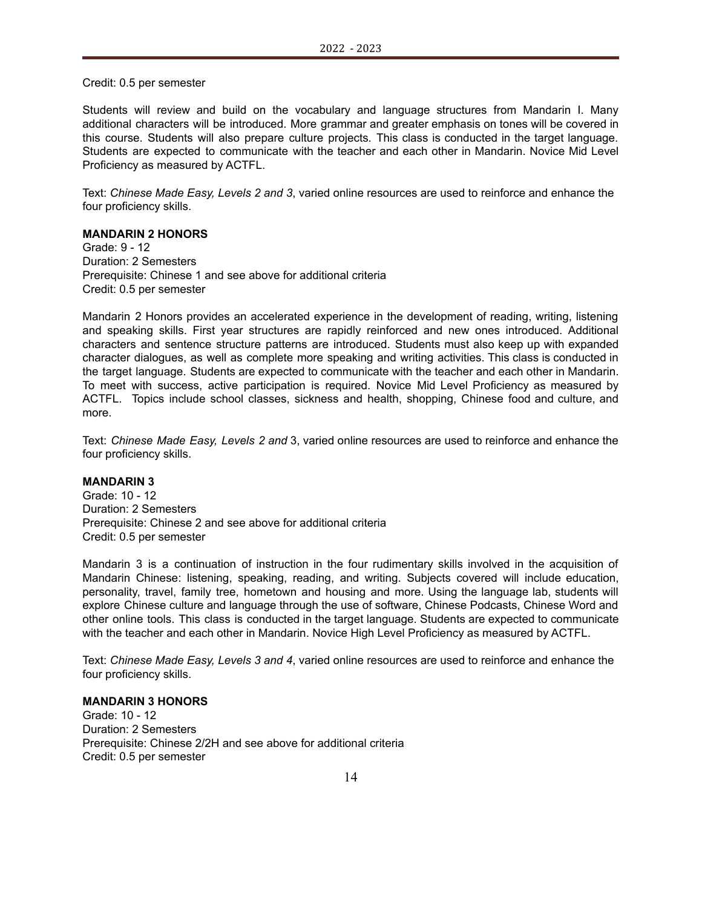Credit: 0.5 per semester

Students will review and build on the vocabulary and language structures from Mandarin I. Many additional characters will be introduced. More grammar and greater emphasis on tones will be covered in this course. Students will also prepare culture projects. This class is conducted in the target language. Students are expected to communicate with the teacher and each other in Mandarin. Novice Mid Level Proficiency as measured by ACTFL.

Text: *Chinese Made Easy, Levels 2 and 3*, varied online resources are used to reinforce and enhance the four proficiency skills.

# **MANDARIN 2 HONORS**

Grade: 9 - 12 Duration: 2 Semesters Prerequisite: Chinese 1 and see above for additional criteria Credit: 0.5 per semester

Mandarin 2 Honors provides an accelerated experience in the development of reading, writing, listening and speaking skills. First year structures are rapidly reinforced and new ones introduced. Additional characters and sentence structure patterns are introduced. Students must also keep up with expanded character dialogues, as well as complete more speaking and writing activities. This class is conducted in the target language. Students are expected to communicate with the teacher and each other in Mandarin. To meet with success, active participation is required. Novice Mid Level Proficiency as measured by ACTFL. Topics include school classes, sickness and health, shopping, Chinese food and culture, and more.

Text: *Chinese Made Easy, Levels 2 and* 3, varied online resources are used to reinforce and enhance the four proficiency skills.

#### **MANDARIN 3**

Grade: 10 - 12 Duration: 2 Semesters Prerequisite: Chinese 2 and see above for additional criteria Credit: 0.5 per semester

Mandarin 3 is a continuation of instruction in the four rudimentary skills involved in the acquisition of Mandarin Chinese: listening, speaking, reading, and writing. Subjects covered will include education, personality, travel, family tree, hometown and housing and more. Using the language lab, students will explore Chinese culture and language through the use of software, Chinese Podcasts, Chinese Word and other online tools. This class is conducted in the target language. Students are expected to communicate with the teacher and each other in Mandarin. Novice High Level Proficiency as measured by ACTFL.

Text: *Chinese Made Easy, Levels 3 and 4*, varied online resources are used to reinforce and enhance the four proficiency skills.

### **MANDARIN 3 HONORS**

Grade: 10 - 12 Duration: 2 Semesters Prerequisite: Chinese 2/2H and see above for additional criteria Credit: 0.5 per semester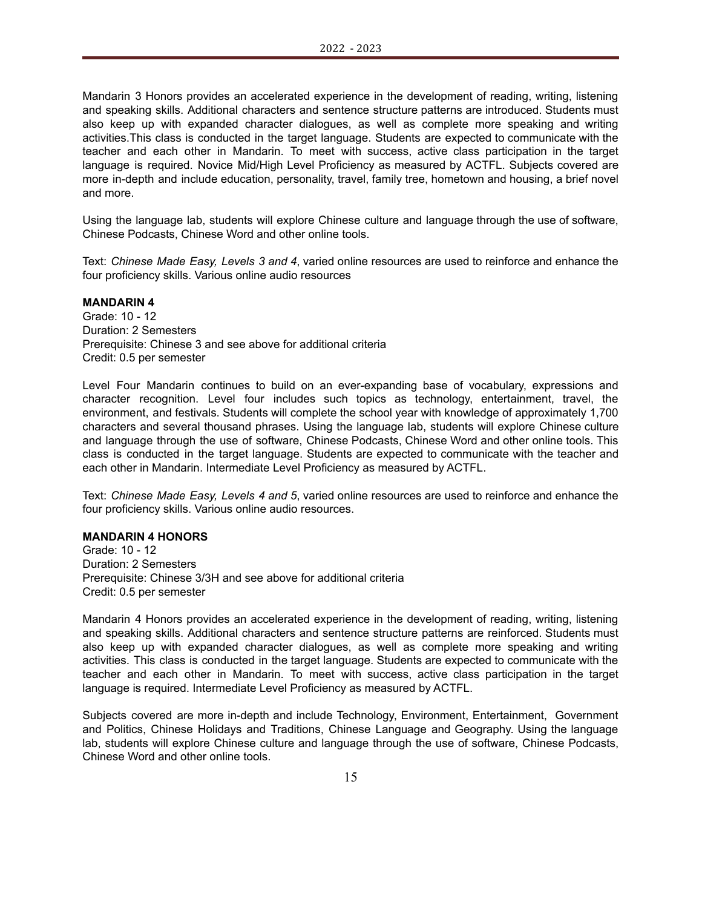Mandarin 3 Honors provides an accelerated experience in the development of reading, writing, listening and speaking skills. Additional characters and sentence structure patterns are introduced. Students must also keep up with expanded character dialogues, as well as complete more speaking and writing activities.This class is conducted in the target language. Students are expected to communicate with the teacher and each other in Mandarin. To meet with success, active class participation in the target language is required. Novice Mid/High Level Proficiency as measured by ACTFL. Subjects covered are more in-depth and include education, personality, travel, family tree, hometown and housing, a brief novel and more.

Using the language lab, students will explore Chinese culture and language through the use of software, Chinese Podcasts, Chinese Word and other online tools.

Text: *Chinese Made Easy, Levels 3 and 4*, varied online resources are used to reinforce and enhance the four proficiency skills. Various online audio resources

#### **MANDARIN 4**

Grade: 10 - 12 Duration: 2 Semesters Prerequisite: Chinese 3 and see above for additional criteria Credit: 0.5 per semester

Level Four Mandarin continues to build on an ever-expanding base of vocabulary, expressions and character recognition. Level four includes such topics as technology, entertainment, travel, the environment, and festivals. Students will complete the school year with knowledge of approximately 1,700 characters and several thousand phrases. Using the language lab, students will explore Chinese culture and language through the use of software, Chinese Podcasts, Chinese Word and other online tools. This class is conducted in the target language. Students are expected to communicate with the teacher and each other in Mandarin. Intermediate Level Proficiency as measured by ACTFL.

Text: *Chinese Made Easy, Levels 4 and 5*, varied online resources are used to reinforce and enhance the four proficiency skills. Various online audio resources.

# **MANDARIN 4 HONORS**

Grade: 10 - 12 Duration: 2 Semesters Prerequisite: Chinese 3/3H and see above for additional criteria Credit: 0.5 per semester

Mandarin 4 Honors provides an accelerated experience in the development of reading, writing, listening and speaking skills. Additional characters and sentence structure patterns are reinforced. Students must also keep up with expanded character dialogues, as well as complete more speaking and writing activities. This class is conducted in the target language. Students are expected to communicate with the teacher and each other in Mandarin. To meet with success, active class participation in the target language is required. Intermediate Level Proficiency as measured by ACTFL.

Subjects covered are more in-depth and include Technology, Environment, Entertainment, Government and Politics, Chinese Holidays and Traditions, Chinese Language and Geography. Using the language lab, students will explore Chinese culture and language through the use of software, Chinese Podcasts, Chinese Word and other online tools.